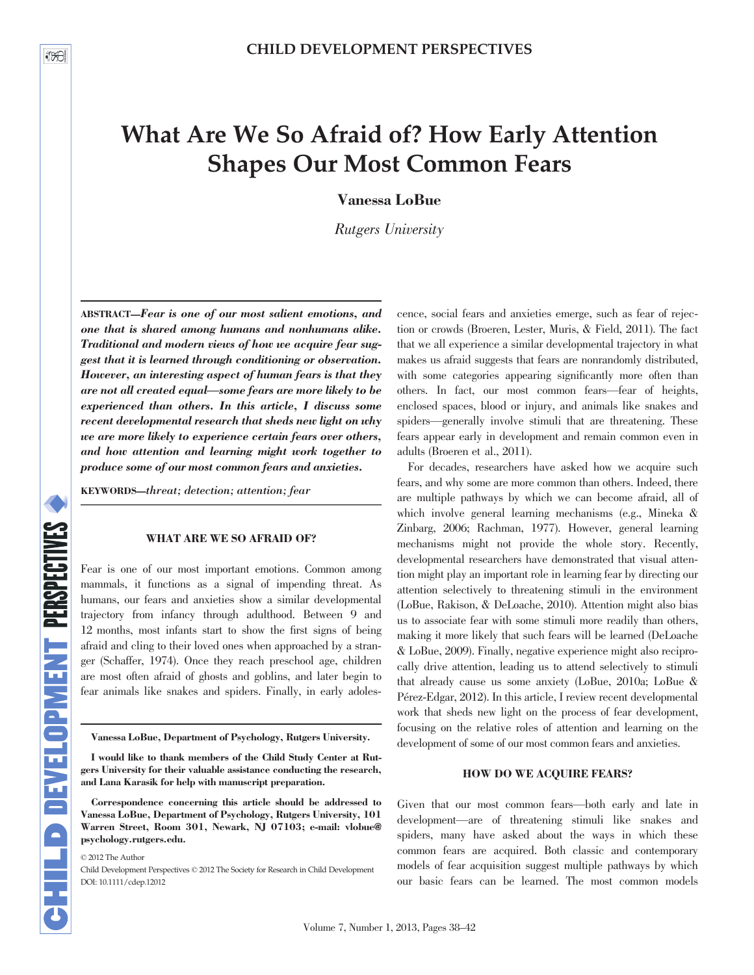# What Are We So Afraid of? How Early Attention Shapes Our Most Common Fears

Vanessa LoBue

Rutgers University

ABSTRACT—Fear is one of our most salient emotions, and one that is shared among humans and nonhumans alike. Traditional and modern views of how we acquire fear suggest that it is learned through conditioning or observation. However, an interesting aspect of human fears is that they are not all created equal—some fears are more likely to be experienced than others. In this article, I discuss some recent developmental research that sheds new light on why we are more likely to experience certain fears over others, and how attention and learning might work together to produce some of our most common fears and anxieties.

KEYWORDS—threat; detection; attention; fear

## WHAT ARE WE SO AFRAID OF?

Fear is one of our most important emotions. Common among mammals, it functions as a signal of impending threat. As humans, our fears and anxieties show a similar developmental trajectory from infancy through adulthood. Between 9 and 12 months, most infants start to show the first signs of being afraid and cling to their loved ones when approached by a stranger (Schaffer, 1974). Once they reach preschool age, children are most often afraid of ghosts and goblins, and later begin to fear animals like snakes and spiders. Finally, in early adoles-

Vanessa LoBue, Department of Psychology, Rutgers University.

I would like to thank members of the Child Study Center at Rutgers University for their valuable assistance conducting the research, and Lana Karasik for help with manuscript preparation.

Correspondence concerning this article should be addressed to Vanessa LoBue, Department of Psychology, Rutgers University, 101 Warren Street, Room 301, Newark, NJ 07103; e-mail: vlobue@ psychology.rutgers.edu.

© 2012 The Author

LD DEVELOPMENT PERSPECTIVES

cence, social fears and anxieties emerge, such as fear of rejection or crowds (Broeren, Lester, Muris, & Field, 2011). The fact that we all experience a similar developmental trajectory in what makes us afraid suggests that fears are nonrandomly distributed, with some categories appearing significantly more often than others. In fact, our most common fears—fear of heights, enclosed spaces, blood or injury, and animals like snakes and spiders—generally involve stimuli that are threatening. These fears appear early in development and remain common even in adults (Broeren et al., 2011).

For decades, researchers have asked how we acquire such fears, and why some are more common than others. Indeed, there are multiple pathways by which we can become afraid, all of which involve general learning mechanisms (e.g., Mineka & Zinbarg, 2006; Rachman, 1977). However, general learning mechanisms might not provide the whole story. Recently, developmental researchers have demonstrated that visual attention might play an important role in learning fear by directing our attention selectively to threatening stimuli in the environment (LoBue, Rakison, & DeLoache, 2010). Attention might also bias us to associate fear with some stimuli more readily than others, making it more likely that such fears will be learned (DeLoache & LoBue, 2009). Finally, negative experience might also reciprocally drive attention, leading us to attend selectively to stimuli that already cause us some anxiety (LoBue, 2010a; LoBue & Pérez-Edgar, 2012). In this article, I review recent developmental work that sheds new light on the process of fear development, focusing on the relative roles of attention and learning on the development of some of our most common fears and anxieties.

## HOW DO WE ACQUIRE FEARS?

Given that our most common fears—both early and late in development—are of threatening stimuli like snakes and spiders, many have asked about the ways in which these common fears are acquired. Both classic and contemporary models of fear acquisition suggest multiple pathways by which our basic fears can be learned. The most common models

Child Development Perspectives © 2012 The Society for Research in Child Development DOI: 10.1111/cdep.12012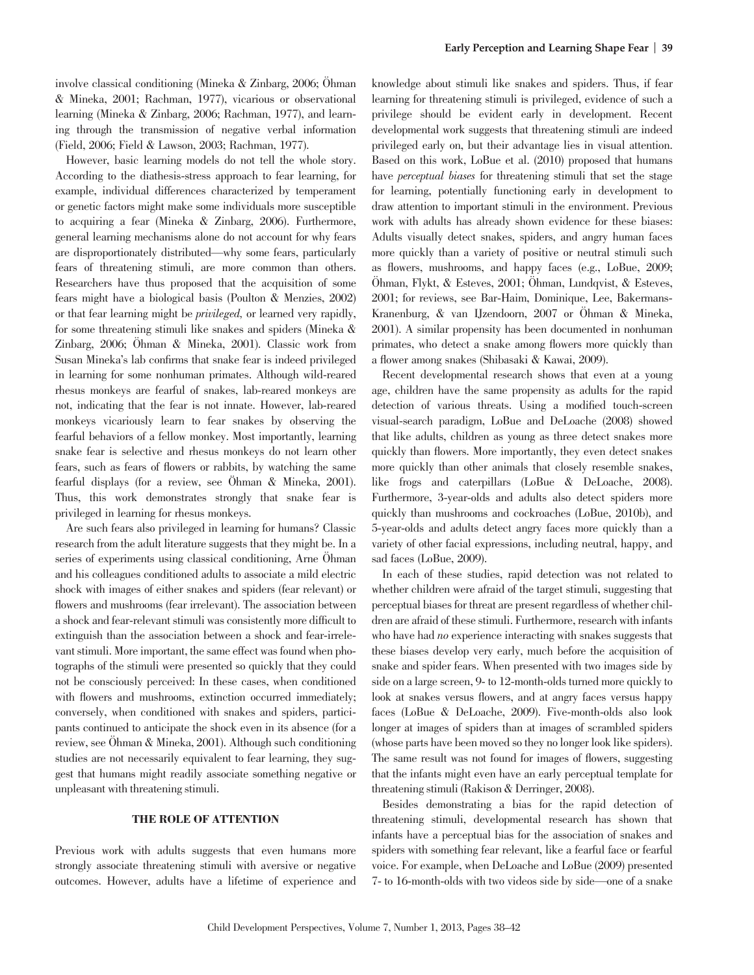involve classical conditioning (Mineka & Zinbarg, 2006; Ohman & Mineka, 2001; Rachman, 1977), vicarious or observational learning (Mineka & Zinbarg, 2006; Rachman, 1977), and learning through the transmission of negative verbal information (Field, 2006; Field & Lawson, 2003; Rachman, 1977).

However, basic learning models do not tell the whole story. According to the diathesis-stress approach to fear learning, for example, individual differences characterized by temperament or genetic factors might make some individuals more susceptible to acquiring a fear (Mineka & Zinbarg, 2006). Furthermore, general learning mechanisms alone do not account for why fears are disproportionately distributed—why some fears, particularly fears of threatening stimuli, are more common than others. Researchers have thus proposed that the acquisition of some fears might have a biological basis (Poulton & Menzies, 2002) or that fear learning might be privileged, or learned very rapidly, for some threatening stimuli like snakes and spiders (Mineka & Zinbarg, 2006; Öhman & Mineka, 2001). Classic work from Susan Mineka's lab confirms that snake fear is indeed privileged in learning for some nonhuman primates. Although wild-reared rhesus monkeys are fearful of snakes, lab-reared monkeys are not, indicating that the fear is not innate. However, lab-reared monkeys vicariously learn to fear snakes by observing the fearful behaviors of a fellow monkey. Most importantly, learning snake fear is selective and rhesus monkeys do not learn other fears, such as fears of flowers or rabbits, by watching the same fearful displays (for a review, see Öhman & Mineka, 2001). Thus, this work demonstrates strongly that snake fear is privileged in learning for rhesus monkeys.

Are such fears also privileged in learning for humans? Classic research from the adult literature suggests that they might be. In a series of experiments using classical conditioning, Arne Öhman and his colleagues conditioned adults to associate a mild electric shock with images of either snakes and spiders (fear relevant) or flowers and mushrooms (fear irrelevant). The association between a shock and fear-relevant stimuli was consistently more difficult to extinguish than the association between a shock and fear-irrelevant stimuli. More important, the same effect was found when photographs of the stimuli were presented so quickly that they could not be consciously perceived: In these cases, when conditioned with flowers and mushrooms, extinction occurred immediately; conversely, when conditioned with snakes and spiders, participants continued to anticipate the shock even in its absence (for a review, see Öhman & Mineka, 2001). Although such conditioning studies are not necessarily equivalent to fear learning, they suggest that humans might readily associate something negative or unpleasant with threatening stimuli.

# THE ROLE OF ATTENTION

Previous work with adults suggests that even humans more strongly associate threatening stimuli with aversive or negative outcomes. However, adults have a lifetime of experience and knowledge about stimuli like snakes and spiders. Thus, if fear learning for threatening stimuli is privileged, evidence of such a privilege should be evident early in development. Recent developmental work suggests that threatening stimuli are indeed privileged early on, but their advantage lies in visual attention. Based on this work, LoBue et al. (2010) proposed that humans have perceptual biases for threatening stimuli that set the stage for learning, potentially functioning early in development to draw attention to important stimuli in the environment. Previous work with adults has already shown evidence for these biases: Adults visually detect snakes, spiders, and angry human faces more quickly than a variety of positive or neutral stimuli such as flowers, mushrooms, and happy faces (e.g., LoBue, 2009;  $\ddot{\text{Ohman}}$ , Flykt, & Esteves, 2001;  $\ddot{\text{Ohman}}$ , Lundqvist, & Esteves, 2001; for reviews, see Bar-Haim, Dominique, Lee, Bakermans-Kranenburg,  $\&$  van IJzendoorn, 2007 or Öhman  $\&$  Mineka, 2001). A similar propensity has been documented in nonhuman primates, who detect a snake among flowers more quickly than a flower among snakes (Shibasaki & Kawai, 2009).

Recent developmental research shows that even at a young age, children have the same propensity as adults for the rapid detection of various threats. Using a modified touch-screen visual-search paradigm, LoBue and DeLoache (2008) showed that like adults, children as young as three detect snakes more quickly than flowers. More importantly, they even detect snakes more quickly than other animals that closely resemble snakes, like frogs and caterpillars (LoBue & DeLoache, 2008). Furthermore, 3-year-olds and adults also detect spiders more quickly than mushrooms and cockroaches (LoBue, 2010b), and 5-year-olds and adults detect angry faces more quickly than a variety of other facial expressions, including neutral, happy, and sad faces (LoBue, 2009).

In each of these studies, rapid detection was not related to whether children were afraid of the target stimuli, suggesting that perceptual biases for threat are present regardless of whether children are afraid of these stimuli. Furthermore, research with infants who have had no experience interacting with snakes suggests that these biases develop very early, much before the acquisition of snake and spider fears. When presented with two images side by side on a large screen, 9- to 12-month-olds turned more quickly to look at snakes versus flowers, and at angry faces versus happy faces (LoBue & DeLoache, 2009). Five-month-olds also look longer at images of spiders than at images of scrambled spiders (whose parts have been moved so they no longer look like spiders). The same result was not found for images of flowers, suggesting that the infants might even have an early perceptual template for threatening stimuli (Rakison & Derringer, 2008).

Besides demonstrating a bias for the rapid detection of threatening stimuli, developmental research has shown that infants have a perceptual bias for the association of snakes and spiders with something fear relevant, like a fearful face or fearful voice. For example, when DeLoache and LoBue (2009) presented 7- to 16-month-olds with two videos side by side—one of a snake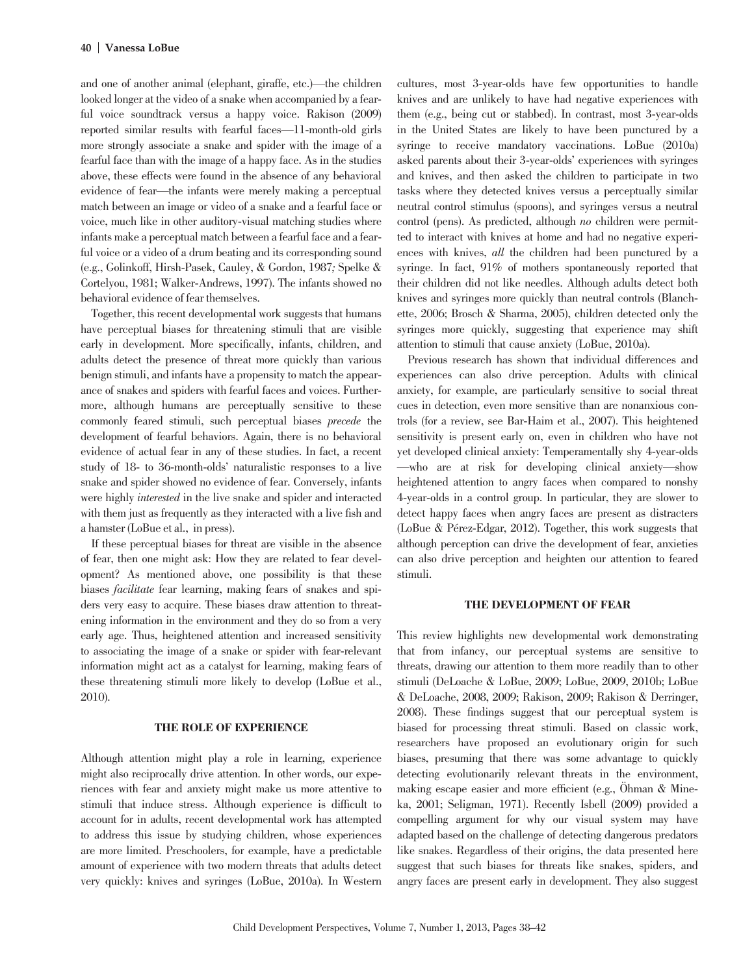and one of another animal (elephant, giraffe, etc.)—the children looked longer at the video of a snake when accompanied by a fearful voice soundtrack versus a happy voice. Rakison (2009) reported similar results with fearful faces—11-month-old girls more strongly associate a snake and spider with the image of a fearful face than with the image of a happy face. As in the studies above, these effects were found in the absence of any behavioral evidence of fear—the infants were merely making a perceptual match between an image or video of a snake and a fearful face or voice, much like in other auditory-visual matching studies where infants make a perceptual match between a fearful face and a fearful voice or a video of a drum beating and its corresponding sound (e.g., Golinkoff, Hirsh-Pasek, Cauley, & Gordon, 1987; Spelke & Cortelyou, 1981; Walker-Andrews, 1997). The infants showed no behavioral evidence of fear themselves.

Together, this recent developmental work suggests that humans have perceptual biases for threatening stimuli that are visible early in development. More specifically, infants, children, and adults detect the presence of threat more quickly than various benign stimuli, and infants have a propensity to match the appearance of snakes and spiders with fearful faces and voices. Furthermore, although humans are perceptually sensitive to these commonly feared stimuli, such perceptual biases precede the development of fearful behaviors. Again, there is no behavioral evidence of actual fear in any of these studies. In fact, a recent study of 18- to 36-month-olds' naturalistic responses to a live snake and spider showed no evidence of fear. Conversely, infants were highly interested in the live snake and spider and interacted with them just as frequently as they interacted with a live fish and a hamster (LoBue et al., in press).

If these perceptual biases for threat are visible in the absence of fear, then one might ask: How they are related to fear development? As mentioned above, one possibility is that these biases facilitate fear learning, making fears of snakes and spiders very easy to acquire. These biases draw attention to threatening information in the environment and they do so from a very early age. Thus, heightened attention and increased sensitivity to associating the image of a snake or spider with fear-relevant information might act as a catalyst for learning, making fears of these threatening stimuli more likely to develop (LoBue et al., 2010).

#### THE ROLE OF EXPERIENCE

Although attention might play a role in learning, experience might also reciprocally drive attention. In other words, our experiences with fear and anxiety might make us more attentive to stimuli that induce stress. Although experience is difficult to account for in adults, recent developmental work has attempted to address this issue by studying children, whose experiences are more limited. Preschoolers, for example, have a predictable amount of experience with two modern threats that adults detect very quickly: knives and syringes (LoBue, 2010a). In Western cultures, most 3-year-olds have few opportunities to handle knives and are unlikely to have had negative experiences with them (e.g., being cut or stabbed). In contrast, most 3-year-olds in the United States are likely to have been punctured by a syringe to receive mandatory vaccinations. LoBue (2010a) asked parents about their 3-year-olds' experiences with syringes and knives, and then asked the children to participate in two tasks where they detected knives versus a perceptually similar neutral control stimulus (spoons), and syringes versus a neutral control (pens). As predicted, although no children were permitted to interact with knives at home and had no negative experiences with knives, all the children had been punctured by a syringe. In fact, 91% of mothers spontaneously reported that their children did not like needles. Although adults detect both knives and syringes more quickly than neutral controls (Blanchette, 2006; Brosch & Sharma, 2005), children detected only the syringes more quickly, suggesting that experience may shift attention to stimuli that cause anxiety (LoBue, 2010a).

Previous research has shown that individual differences and experiences can also drive perception. Adults with clinical anxiety, for example, are particularly sensitive to social threat cues in detection, even more sensitive than are nonanxious controls (for a review, see Bar-Haim et al., 2007). This heightened sensitivity is present early on, even in children who have not yet developed clinical anxiety: Temperamentally shy 4-year-olds —who are at risk for developing clinical anxiety—show heightened attention to angry faces when compared to nonshy 4-year-olds in a control group. In particular, they are slower to detect happy faces when angry faces are present as distracters (LoBue & Pérez-Edgar, 2012). Together, this work suggests that although perception can drive the development of fear, anxieties can also drive perception and heighten our attention to feared stimuli.

## THE DEVELOPMENT OF FEAR

This review highlights new developmental work demonstrating that from infancy, our perceptual systems are sensitive to threats, drawing our attention to them more readily than to other stimuli (DeLoache & LoBue, 2009; LoBue, 2009, 2010b; LoBue & DeLoache, 2008, 2009; Rakison, 2009; Rakison & Derringer, 2008). These findings suggest that our perceptual system is biased for processing threat stimuli. Based on classic work, researchers have proposed an evolutionary origin for such biases, presuming that there was some advantage to quickly detecting evolutionarily relevant threats in the environment, making escape easier and more efficient (e.g.,  $\ddot{\text{Oh}}$  man  $\&$  Mineka, 2001; Seligman, 1971). Recently Isbell (2009) provided a compelling argument for why our visual system may have adapted based on the challenge of detecting dangerous predators like snakes. Regardless of their origins, the data presented here suggest that such biases for threats like snakes, spiders, and angry faces are present early in development. They also suggest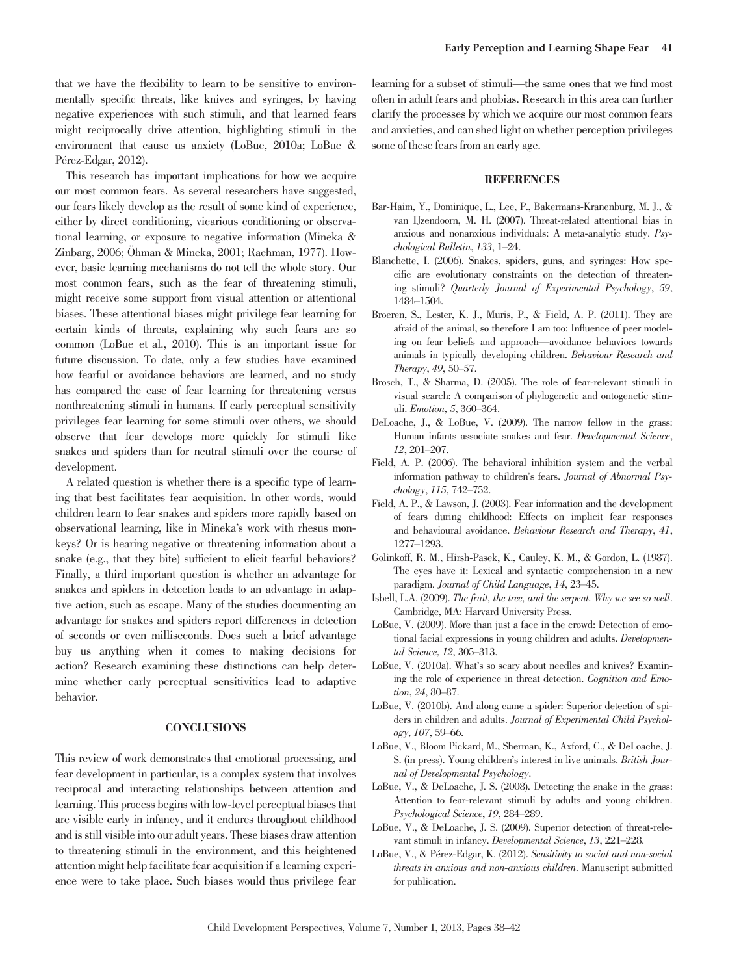that we have the flexibility to learn to be sensitive to environmentally specific threats, like knives and syringes, by having negative experiences with such stimuli, and that learned fears might reciprocally drive attention, highlighting stimuli in the environment that cause us anxiety (LoBue, 2010a; LoBue & Pérez-Edgar, 2012).

This research has important implications for how we acquire our most common fears. As several researchers have suggested, our fears likely develop as the result of some kind of experience, either by direct conditioning, vicarious conditioning or observational learning, or exposure to negative information (Mineka & Zinbarg, 2006; Öhman & Mineka, 2001; Rachman, 1977). However, basic learning mechanisms do not tell the whole story. Our most common fears, such as the fear of threatening stimuli, might receive some support from visual attention or attentional biases. These attentional biases might privilege fear learning for certain kinds of threats, explaining why such fears are so common (LoBue et al., 2010). This is an important issue for future discussion. To date, only a few studies have examined how fearful or avoidance behaviors are learned, and no study has compared the ease of fear learning for threatening versus nonthreatening stimuli in humans. If early perceptual sensitivity privileges fear learning for some stimuli over others, we should observe that fear develops more quickly for stimuli like snakes and spiders than for neutral stimuli over the course of development.

A related question is whether there is a specific type of learning that best facilitates fear acquisition. In other words, would children learn to fear snakes and spiders more rapidly based on observational learning, like in Mineka's work with rhesus monkeys? Or is hearing negative or threatening information about a snake (e.g., that they bite) sufficient to elicit fearful behaviors? Finally, a third important question is whether an advantage for snakes and spiders in detection leads to an advantage in adaptive action, such as escape. Many of the studies documenting an advantage for snakes and spiders report differences in detection of seconds or even milliseconds. Does such a brief advantage buy us anything when it comes to making decisions for action? Research examining these distinctions can help determine whether early perceptual sensitivities lead to adaptive behavior.

#### **CONCLUSIONS**

This review of work demonstrates that emotional processing, and fear development in particular, is a complex system that involves reciprocal and interacting relationships between attention and learning. This process begins with low-level perceptual biases that are visible early in infancy, and it endures throughout childhood and is still visible into our adult years. These biases draw attention to threatening stimuli in the environment, and this heightened attention might help facilitate fear acquisition if a learning experience were to take place. Such biases would thus privilege fear learning for a subset of stimuli—the same ones that we find most often in adult fears and phobias. Research in this area can further clarify the processes by which we acquire our most common fears and anxieties, and can shed light on whether perception privileges some of these fears from an early age.

#### REFERENCES

- Bar-Haim, Y., Dominique, L., Lee, P., Bakermans-Kranenburg, M. J., & van IJzendoorn, M. H. (2007). Threat-related attentional bias in anxious and nonanxious individuals: A meta-analytic study. Psychological Bulletin, 133, 1–24.
- Blanchette, I. (2006). Snakes, spiders, guns, and syringes: How specific are evolutionary constraints on the detection of threatening stimuli? Quarterly Journal of Experimental Psychology, 59, 1484–1504.
- Broeren, S., Lester, K. J., Muris, P., & Field, A. P. (2011). They are afraid of the animal, so therefore I am too: Influence of peer modeling on fear beliefs and approach—avoidance behaviors towards animals in typically developing children. Behaviour Research and Therapy, 49, 50–57.
- Brosch, T., & Sharma, D. (2005). The role of fear-relevant stimuli in visual search: A comparison of phylogenetic and ontogenetic stimuli. Emotion, 5, 360–364.
- DeLoache, J., & LoBue, V. (2009). The narrow fellow in the grass: Human infants associate snakes and fear. Developmental Science, 12, 201–207.
- Field, A. P. (2006). The behavioral inhibition system and the verbal information pathway to children's fears. Journal of Abnormal Psychology, 115, 742–752.
- Field, A. P., & Lawson, J. (2003). Fear information and the development of fears during childhood: Effects on implicit fear responses and behavioural avoidance. Behaviour Research and Therapy, 41, 1277–1293.
- Golinkoff, R. M., Hirsh-Pasek, K., Cauley, K. M., & Gordon, L. (1987). The eyes have it: Lexical and syntactic comprehension in a new paradigm. Journal of Child Language, 14, 23–45.
- Isbell, L.A. (2009). The fruit, the tree, and the serpent. Why we see so well. Cambridge, MA: Harvard University Press.
- LoBue, V. (2009). More than just a face in the crowd: Detection of emotional facial expressions in young children and adults. Developmental Science, 12, 305–313.
- LoBue, V. (2010a). What's so scary about needles and knives? Examining the role of experience in threat detection. Cognition and Emotion, 24, 80–87.
- LoBue, V. (2010b). And along came a spider: Superior detection of spiders in children and adults. Journal of Experimental Child Psychology, 107, 59–66.
- LoBue, V., Bloom Pickard, M., Sherman, K., Axford, C., & DeLoache, J. S. (in press). Young children's interest in live animals. British Journal of Developmental Psychology.
- LoBue, V., & DeLoache, J. S. (2008). Detecting the snake in the grass: Attention to fear-relevant stimuli by adults and young children. Psychological Science, 19, 284–289.
- LoBue, V., & DeLoache, J. S. (2009). Superior detection of threat-relevant stimuli in infancy. Developmental Science, 13, 221–228.
- LoBue, V., & Pérez-Edgar, K. (2012). Sensitivity to social and non-social threats in anxious and non-anxious children. Manuscript submitted for publication.